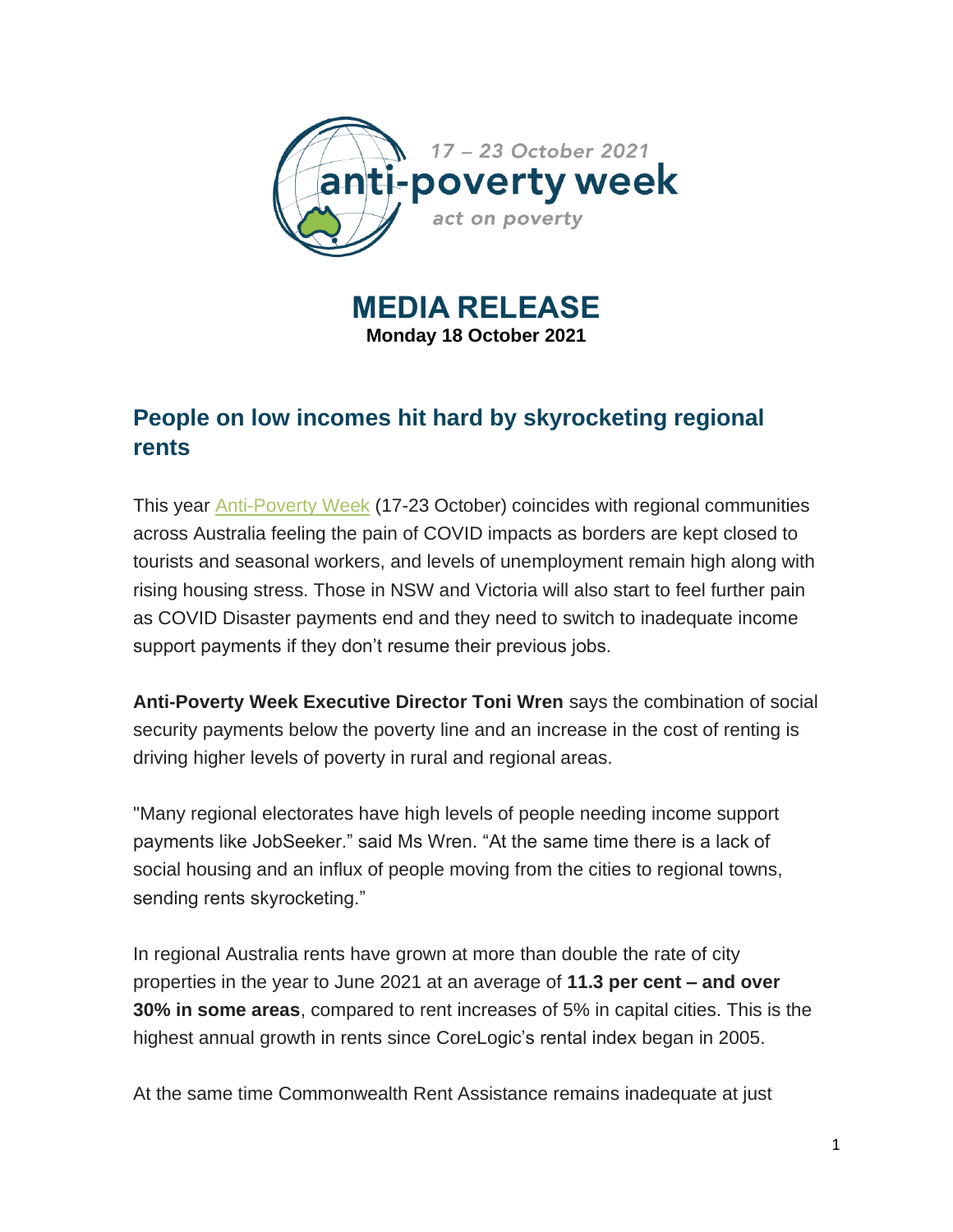

**MEDIA RELEASE Monday 18 October 2021**

# **People on low incomes hit hard by skyrocketing regional rents**

This year [Anti-Poverty Week](https://antipovertyweek.org.au/apw-2021/) (17-23 October) coincides with regional communities across Australia feeling the pain of COVID impacts as borders are kept closed to tourists and seasonal workers, and levels of unemployment remain high along with rising housing stress. Those in NSW and Victoria will also start to feel further pain as COVID Disaster payments end and they need to switch to inadequate income support payments if they don't resume their previous jobs.

**Anti-Poverty Week Executive Director Toni Wren** says the combination of social security payments below the poverty line and an increase in the cost of renting is driving higher levels of poverty in rural and regional areas.

"Many regional electorates have high levels of people needing income support payments like JobSeeker." said Ms Wren. "At the same time there is a lack of social housing and an influx of people moving from the cities to regional towns, sending rents skyrocketing."

In regional Australia rents have grown at more than double the rate of city properties in the year to June 2021 at an average of **11.3 per cent – and over 30% in some areas**, compared to rent increases of 5% in capital cities. This is the highest annual growth in rents since CoreLogic's rental index began in 2005.

At the same time Commonwealth Rent Assistance remains inadequate at just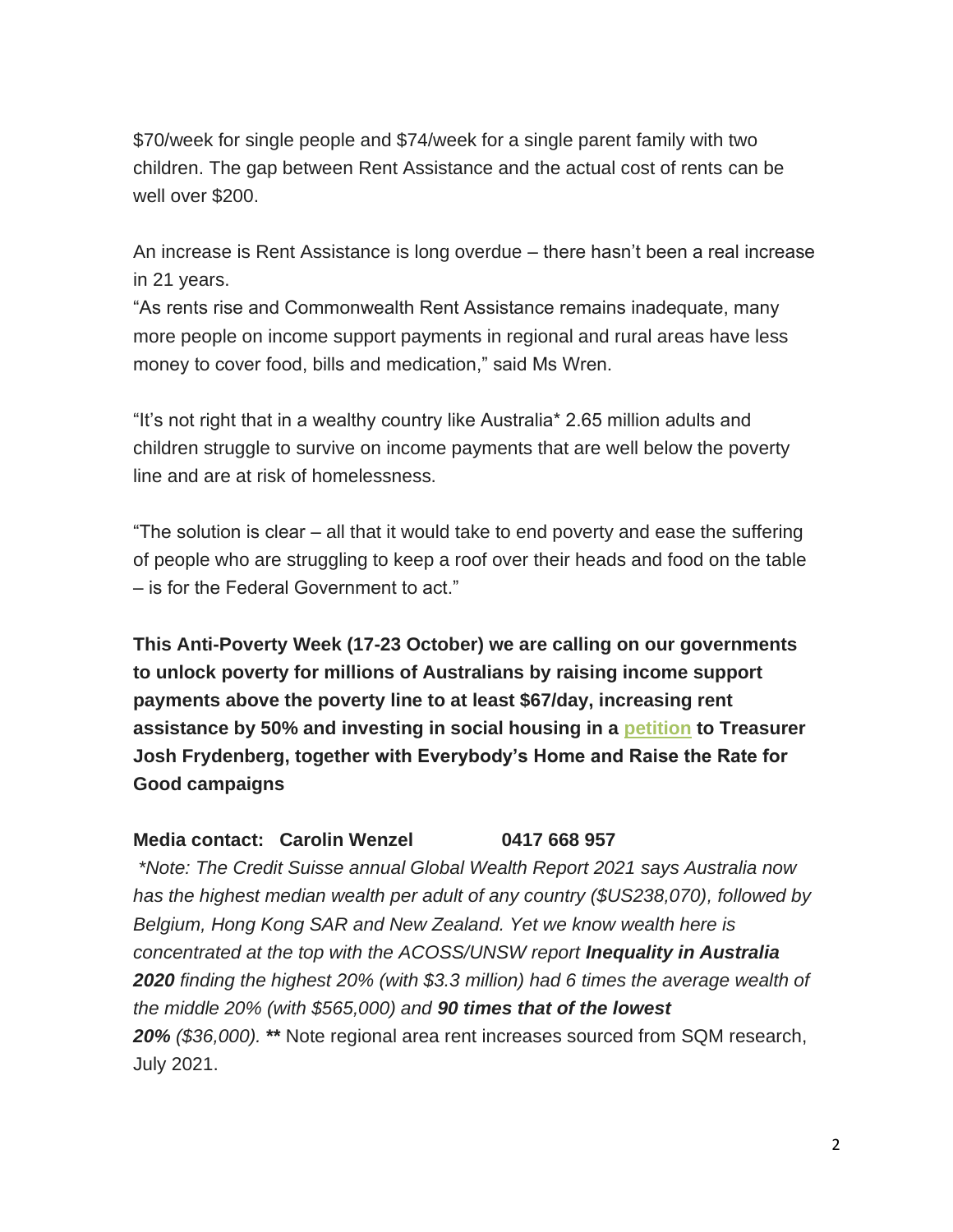\$70/week for single people and \$74/week for a single parent family with two children. The gap between Rent Assistance and the actual cost of rents can be well over \$200.

An increase is Rent Assistance is long overdue – there hasn't been a real increase in 21 years.

"As rents rise and Commonwealth Rent Assistance remains inadequate, many more people on income support payments in regional and rural areas have less money to cover food, bills and medication," said Ms Wren.

"It's not right that in a wealthy country like Australia\* 2.65 million adults and children struggle to survive on income payments that are well below the poverty line and are at risk of homelessness.

"The solution is clear – all that it would take to end poverty and ease the suffering of people who are struggling to keep a roof over their heads and food on the table – is for the Federal Government to act."

**This Anti-Poverty Week (17-23 October) we are calling on our governments to unlock poverty for millions of Australians by raising income support payments above the poverty line to at least \$67/day, increasing rent assistance by 50% and investing in social housing in a [petition](https://antipovertyweek.org.au/apw-2021/) to Treasurer Josh Frydenberg, together with Everybody's Home and Raise the Rate for Good campaigns**

#### **Media contact: Carolin Wenzel 0417 668 957**

*\*Note: The Credit Suisse annual Global Wealth Report 2021 says Australia now has the highest median wealth per adult of any country (\$US238,070), followed by Belgium, Hong Kong SAR and New Zealand. Yet we know wealth here is concentrated at the top with the ACOSS/UNSW report Inequality in Australia 2020 finding the highest 20% (with \$3.3 million) had 6 times the average wealth of the middle 20% (with \$565,000) and 90 times that of the lowest 20% (\$36,000).* **\*\*** Note regional area rent increases sourced from SQM research, July 2021.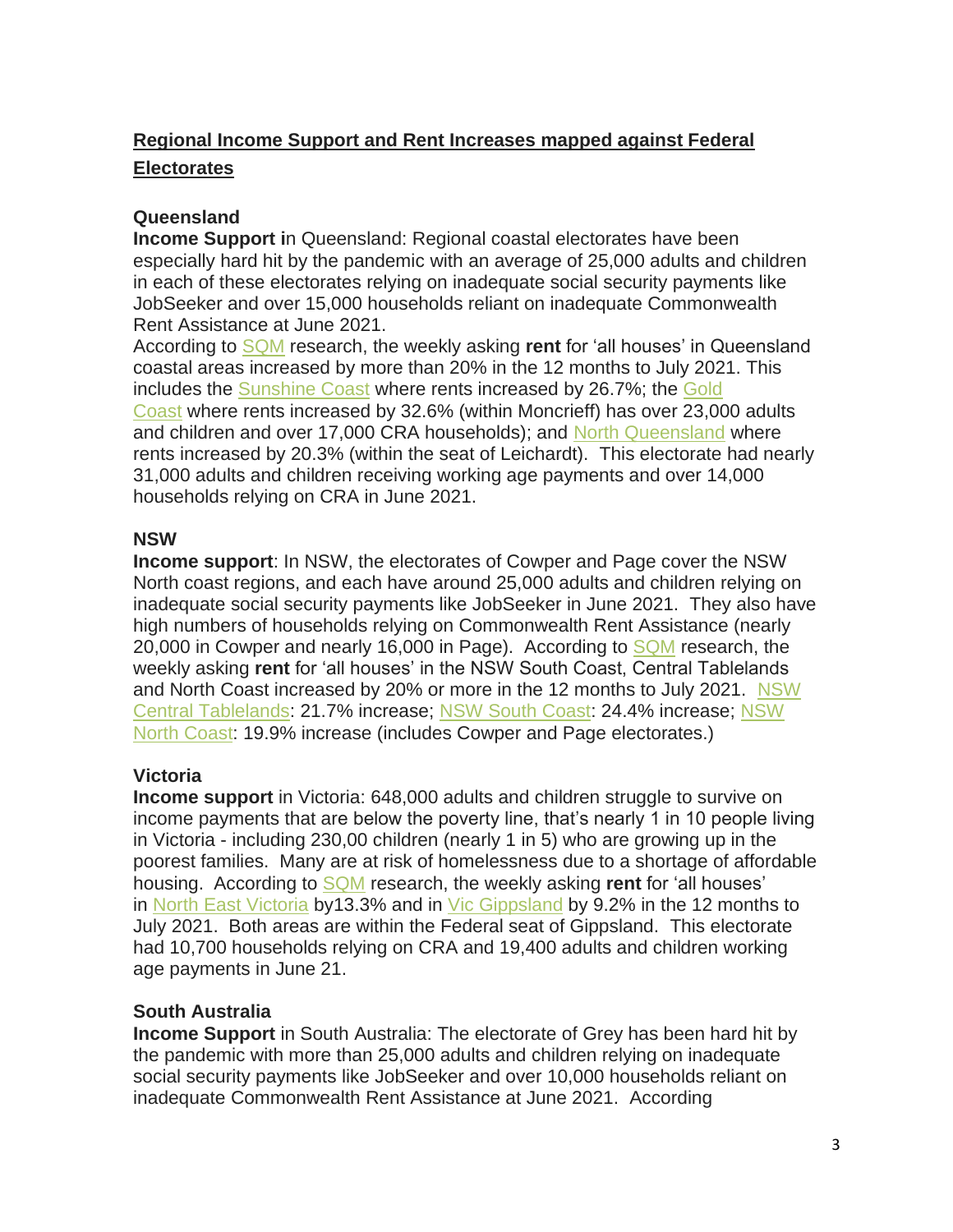## **Regional Income Support and Rent Increases mapped against Federal Electorates**

### **Queensland**

**Income Support i**n Queensland: Regional coastal electorates have been especially hard hit by the pandemic with an average of 25,000 adults and children in each of these electorates relying on inadequate social security payments like JobSeeker and over 15,000 households reliant on inadequate Commonwealth Rent Assistance at June 2021.

According to [SQM](https://sqmresearch.com.au/) research, the weekly asking **rent** for 'all houses' in Queensland coastal areas increased by more than 20% in the 12 months to July 2021. This includes the [Sunshine Coast](https://sqmresearch.com.au/weekly-rents.php?sfx=®ion=qld%3A%3ASunshine+Coast&t=1) where rents increased by 26.7%; the Gold [Coast](https://sqmresearch.com.au/weekly-rents.php?sfx=®ion=qld%3A%3AGold+Coast+Main&t=1) where rents increased by 32.6% (within Moncrieff) has over 23,000 adults and children and over 17,000 CRA households); and [North Queensland](https://sqmresearch.com.au/weekly-rents.php?sfx=®ion=qld%3A%3ANorth+Queensland&t=1) where rents increased by 20.3% (within the seat of Leichardt). This electorate had nearly 31,000 adults and children receiving working age payments and over 14,000 households relying on CRA in June 2021.

### **NSW**

**Income support**: In NSW, the electorates of Cowper and Page cover the NSW North coast regions, and each have around 25,000 adults and children relying on inadequate social security payments like JobSeeker in June 2021. They also have high numbers of households relying on Commonwealth Rent Assistance (nearly 20,000 in Cowper and nearly 16,000 in Page). According to [SQM](https://sqmresearch.com.au/) research, the weekly asking **rent** for 'all houses' in the NSW South Coast, Central Tablelands and North Coast increased by 20% or more in the 12 months to July 2021. [NSW](https://sqmresearch.com.au/weekly-rents.php?sfx=®ion=nsw%3A%3ACentral+Tablelands&t=1)  [Central Tablelands:](https://sqmresearch.com.au/weekly-rents.php?sfx=®ion=nsw%3A%3ACentral+Tablelands&t=1) 21.7% increase; [NSW South Coast:](https://sqmresearch.com.au/weekly-rents.php?sfx=®ion=nsw%3A%3ASouth+Coast+NSW&t=1) 24.4% increase; [NSW](https://sqmresearch.com.au/weekly-rents.php?sfx=®ion=nsw%3A%3ANorth+Coast+NSW&t=1)  [North Coast:](https://sqmresearch.com.au/weekly-rents.php?sfx=®ion=nsw%3A%3ANorth+Coast+NSW&t=1) 19.9% increase (includes Cowper and Page electorates.)

## **Victoria**

**Income support** in Victoria: 648,000 adults and children struggle to survive on income payments that are below the poverty line, that's nearly 1 in 10 people living in Victoria - including 230,00 children (nearly 1 in 5) who are growing up in the poorest families. Many are at risk of homelessness due to a shortage of affordable housing. According to [SQM](https://sqmresearch.com.au/) research, the weekly asking **rent** for 'all houses' in [North East Victoria](https://sqmresearch.com.au/weekly-rents.php?sfx=®ion=vic%3A%3ANorth+East+Victoria&t=1) by13.3% and in [Vic Gippsland](https://sqmresearch.com.au/weekly-rents.php?sfx=®ion=vic%3A%3AGippsland&t=1) by 9.2% in the 12 months to July 2021. Both areas are within the Federal seat of Gippsland. This electorate had 10,700 households relying on CRA and 19,400 adults and children working age payments in June 21.

## **South Australia**

**Income Support** in South Australia: The electorate of Grey has been hard hit by the pandemic with more than 25,000 adults and children relying on inadequate social security payments like JobSeeker and over 10,000 households reliant on inadequate Commonwealth Rent Assistance at June 2021. According